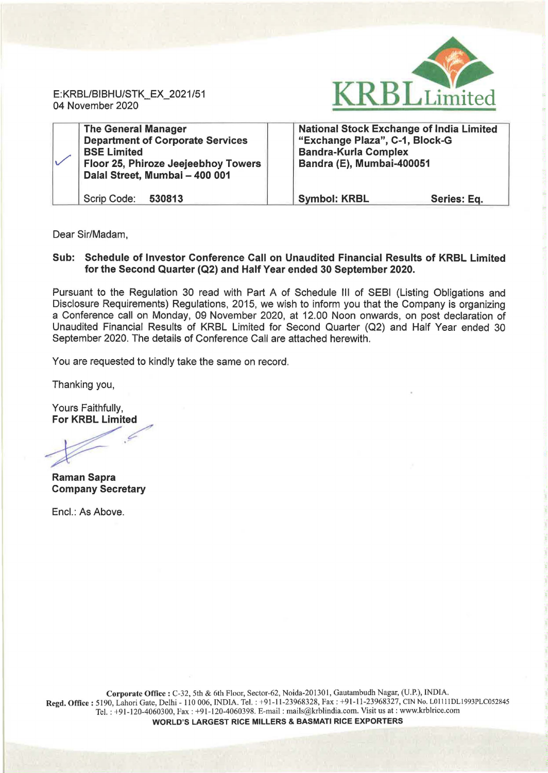

E:KRBL/BIBHU/STK\_EX\_2021/51 04 November 2020

| <b>The General Manager</b><br><b>Department of Corporate Services</b><br><b>BSE Limited</b><br>Floor 25, Phiroze Jeejeebhoy Towers<br>Dalal Street, Mumbai - 400 001 | <b>National Stock Exchange of India Limited</b><br>"Exchange Plaza", C-1, Block-G<br><b>Bandra-Kurla Complex</b><br>Bandra (E), Mumbai-400051 |  |
|----------------------------------------------------------------------------------------------------------------------------------------------------------------------|-----------------------------------------------------------------------------------------------------------------------------------------------|--|
| Scrip Code: 530813                                                                                                                                                   | <b>Symbol: KRBL</b><br>Series: Eq.                                                                                                            |  |

Dear Sir/Madam,

## Sub: Schedule of Investor Conference Call on Unaudited Financial Results of KRBL Limited for the Second Quarter (Q2) and Half Year ended 30 September 2020.

Pursuant to the Regulation 30 read with Part A of Schedule Ill of SEBI (Listing Obligations and Disclosure Requirements) Regulations, 2015, we wish to inform you that the Company is organizing a Conference call on Monday, 09 November 2020, at 12.00 Noon onwards, on post declaration of Unaudited Financial Results of KRBL Limited for Second Quarter (Q2) and Half Year ended 30 September 2020. The details of Conference Call are attached herewith.

You are requested to kindly take the same on record.

Thanking you,

Yours Faithfully, For KRBL Limited

/

Raman Sapra Company Secretary

Encl.: As Above.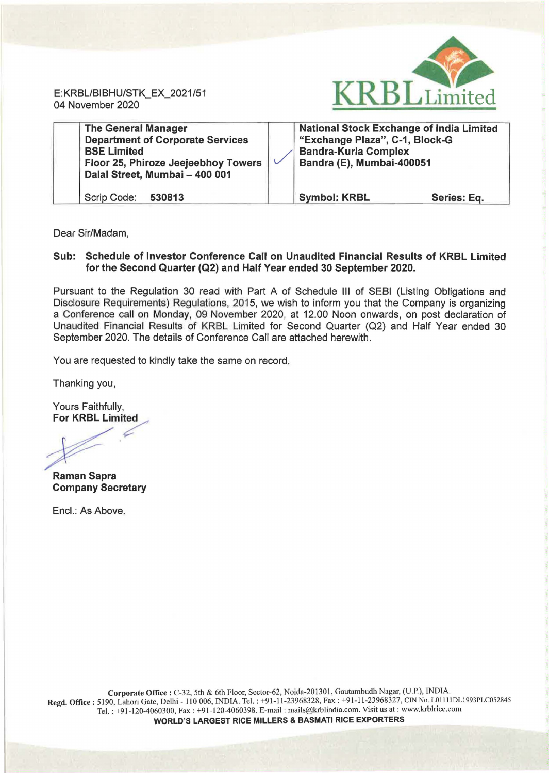E: KRBL/BIBHU/STK\_EX\_2021/51 04 November 2020



| <b>The General Manager</b><br><b>Department of Corporate Services</b><br><b>BSE Limited</b><br>Floor 25, Phiroze Jeejeebhoy Towers<br>Dalal Street, Mumbai - 400 001 | <b>National Stock Exchange of India Limited</b><br>"Exchange Plaza", C-1, Block-G<br><b>Bandra-Kurla Complex</b><br>Bandra (E), Mumbai-400051 |             |
|----------------------------------------------------------------------------------------------------------------------------------------------------------------------|-----------------------------------------------------------------------------------------------------------------------------------------------|-------------|
| Scrip Code:<br>530813                                                                                                                                                | <b>Symbol: KRBL</b>                                                                                                                           | Series: Eq. |

Dear Sir/Madam,

## Sub: Schedule of Investor Conference Call on Unaudited Financial Results of KRBL Limited for the Second Quarter (Q2) and Half Year ended 30 September 2020.

Pursuant to the Regulation 30 read with Part A of Schedule Ill of SEBI (Listing Obligations and Disclosure Requirements) Regulations, 2015, we wish to inform you that the Company is organizing a Conference call on Monday, 09 November 2020, at 12.00 Noon onwards, on post declaration of Unaudited Financial Results of KRBL Limited for Second Quarter (Q2) and Half Year ended 30 September 2020. The details of Conference Call are attached herewith.

You are requested to kindly take the same on record.

Thanking you,

Yours Faithfully, Yours Faithfully,<br>**For KRBL Limited** 

For KRI<br> **Allen Street** 

Raman Sapra Company Secretary

Encl.: As Above.